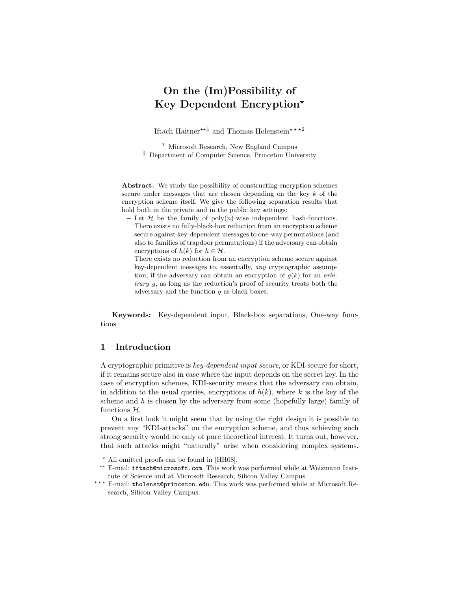# On the (Im)Possibility of Key Dependent Encryption?

Iftach Haitner\*\*1 and Thomas Holenstein\*\*\*2

<sup>1</sup> Microsoft Research, New England Campus <sup>2</sup> Department of Computer Science, Princeton University

Abstract. We study the possibility of constructing encryption schemes secure under messages that are chosen depending on the key  $k$  of the encryption scheme itself. We give the following separation results that hold both in the private and in the public key settings:

- Let  $H$  be the family of poly(n)-wise independent hash-functions. There exists no fully-black-box reduction from an encryption scheme secure against key-dependent messages to one-way permutations (and also to families of trapdoor permutations) if the adversary can obtain encryptions of  $h(k)$  for  $h \in \mathcal{H}$ .
- There exists no reduction from an encryption scheme secure against key-dependent messages to, essentially, any cryptographic assumption, if the adversary can obtain an encryption of  $g(k)$  for an arbitrary g, as long as the reduction's proof of security treats both the adversary and the function  $q$  as black boxes.

Keywords: Key-dependent input, Black-box separations, One-way functions

# 1 Introduction

A cryptographic primitive is key-dependent input secure, or KDI-secure for short, if it remains secure also in case where the input depends on the secret key. In the case of encryption schemes, KDI-security means that the adversary can obtain, in addition to the usual queries, encryptions of  $h(k)$ , where k is the key of the scheme and  $h$  is chosen by the adversary from some (hopefully large) family of functions  $H$ .

On a first look it might seem that by using the right design it is possible to prevent any "KDI-attacks" on the encryption scheme, and thus achieving such strong security would be only of pure theoretical interest. It turns out, however, that such attacks might "naturally" arise when considering complex systems.

<sup>?</sup> All omitted proofs can be found in [HH08].

<sup>\*\*</sup> E-mail: iftach@microsoft.com. This work was performed while at Weizmann Institute of Science and at Microsoft Research, Silicon Valley Campus.

<sup>\*\*\*</sup> E-mail: tholenst@princeton.edu. This work was performed while at Microsoft Research, Silicon Valley Campus.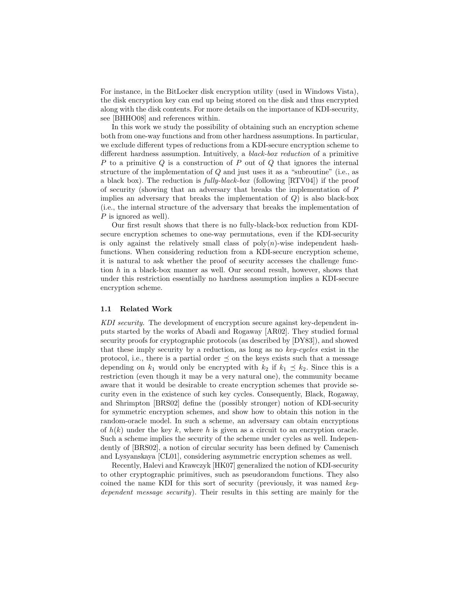For instance, in the BitLocker disk encryption utility (used in Windows Vista), the disk encryption key can end up being stored on the disk and thus encrypted along with the disk contents. For more details on the importance of KDI-security, see [BHHO08] and references within.

In this work we study the possibility of obtaining such an encryption scheme both from one-way functions and from other hardness assumptions. In particular, we exclude different types of reductions from a KDI-secure encryption scheme to different hardness assumption. Intuitively, a black-box reduction of a primitive P to a primitive  $Q$  is a construction of P out of  $Q$  that ignores the internal structure of the implementation of  $Q$  and just uses it as a "subroutine" (i.e., as a black box). The reduction is fully-black-box (following [RTV04]) if the proof of security (showing that an adversary that breaks the implementation of P implies an adversary that breaks the implementation of  $Q$ ) is also black-box (i.e., the internal structure of the adversary that breaks the implementation of P is ignored as well).

Our first result shows that there is no fully-black-box reduction from KDIsecure encryption schemes to one-way permutations, even if the KDI-security is only against the relatively small class of  $poly(n)$ -wise independent hashfunctions. When considering reduction from a KDI-secure encryption scheme, it is natural to ask whether the proof of security accesses the challenge function h in a black-box manner as well. Our second result, however, shows that under this restriction essentially no hardness assumption implies a KDI-secure encryption scheme.

#### 1.1 Related Work

KDI security. The development of encryption secure against key-dependent inputs started by the works of Abadi and Rogaway [AR02]. They studied formal security proofs for cryptographic protocols (as described by [DY83]), and showed that these imply security by a reduction, as long as no key-cycles exist in the protocol, i.e., there is a partial order  $\preceq$  on the keys exists such that a message depending on  $k_1$  would only be encrypted with  $k_2$  if  $k_1 \leq k_2$ . Since this is a restriction (even though it may be a very natural one), the community became aware that it would be desirable to create encryption schemes that provide security even in the existence of such key cycles. Consequently, Black, Rogaway, and Shrimpton [BRS02] define the (possibly stronger) notion of KDI-security for symmetric encryption schemes, and show how to obtain this notion in the random-oracle model. In such a scheme, an adversary can obtain encryptions of  $h(k)$  under the key k, where h is given as a circuit to an encryption oracle. Such a scheme implies the security of the scheme under cycles as well. Independently of [BRS02], a notion of circular security has been defined by Camenisch and Lysyanskaya [CL01], considering asymmetric encryption schemes as well.

Recently, Halevi and Krawczyk [HK07] generalized the notion of KDI-security to other cryptographic primitives, such as pseudorandom functions. They also coined the name KDI for this sort of security (previously, it was named keydependent message security). Their results in this setting are mainly for the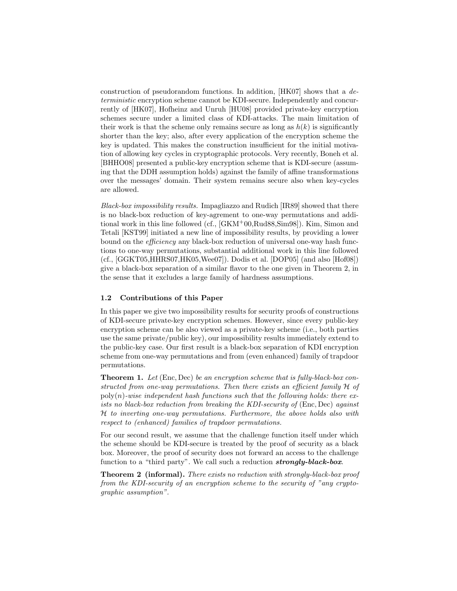construction of pseudorandom functions. In addition, [HK07] shows that a deterministic encryption scheme cannot be KDI-secure. Independently and concurrently of [HK07], Hofheinz and Unruh [HU08] provided private-key encryption schemes secure under a limited class of KDI-attacks. The main limitation of their work is that the scheme only remains secure as long as  $h(k)$  is significantly shorter than the key; also, after every application of the encryption scheme the key is updated. This makes the construction insufficient for the initial motivation of allowing key cycles in cryptographic protocols. Very recently, Boneh et al. [BHHO08] presented a public-key encryption scheme that is KDI-secure (assuming that the DDH assumption holds) against the family of affine transformations over the messages' domain. Their system remains secure also when key-cycles are allowed.

Black-box impossibility results. Impagliazzo and Rudich [IR89] showed that there is no black-box reduction of key-agrement to one-way permutations and additional work in this line followed (cf., [GKM+00,Rud88,Sim98]). Kim, Simon and Tetali [KST99] initiated a new line of impossibility results, by providing a lower bound on the efficiency any black-box reduction of universal one-way hash functions to one-way permutations, substantial additional work in this line followed (cf., [GGKT05,HHRS07,HK05,Wee07]). Dodis et al. [DOP05] (and also [Hof08]) give a black-box separation of a similar flavor to the one given in Theorem 2, in the sense that it excludes a large family of hardness assumptions.

# 1.2 Contributions of this Paper

In this paper we give two impossibility results for security proofs of constructions of KDI-secure private-key encryption schemes. However, since every public-key encryption scheme can be also viewed as a private-key scheme (i.e., both parties use the same private/public key), our impossibility results immediately extend to the public-key case. Our first result is a black-box separation of KDI encryption scheme from one-way permutations and from (even enhanced) family of trapdoor permutations.

Theorem 1. Let (Enc, Dec) be an encryption scheme that is fully-black-box constructed from one-way permutations. Then there exists an efficient family H of  $poly(n)$ -wise independent hash functions such that the following holds: there exists no black-box reduction from breaking the KDI-security of (Enc, Dec) against H to inverting one-way permutations. Furthermore, the above holds also with respect to (enhanced) families of trapdoor permutations.

For our second result, we assume that the challenge function itself under which the scheme should be KDI-secure is treated by the proof of security as a black box. Moreover, the proof of security does not forward an access to the challenge function to a "third party". We call such a reduction **strongly-black-box**.

Theorem 2 (informal). There exists no reduction with strongly-black-box proof from the KDI-security of an encryption scheme to the security of "any cryptographic assumption".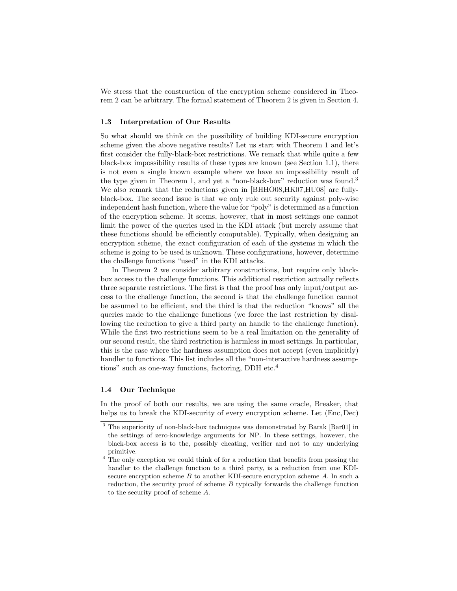We stress that the construction of the encryption scheme considered in Theorem 2 can be arbitrary. The formal statement of Theorem 2 is given in Section 4.

#### 1.3 Interpretation of Our Results

So what should we think on the possibility of building KDI-secure encryption scheme given the above negative results? Let us start with Theorem 1 and let's first consider the fully-black-box restrictions. We remark that while quite a few black-box impossibility results of these types are known (see Section 1.1), there is not even a single known example where we have an impossibility result of the type given in Theorem 1, and yet a "non-black-box" reduction was found.<sup>3</sup> We also remark that the reductions given in [BHHO08,HK07,HU08] are fullyblack-box. The second issue is that we only rule out security against poly-wise independent hash function, where the value for "poly" is determined as a function of the encryption scheme. It seems, however, that in most settings one cannot limit the power of the queries used in the KDI attack (but merely assume that these functions should be efficiently computable). Typically, when designing an encryption scheme, the exact configuration of each of the systems in which the scheme is going to be used is unknown. These configurations, however, determine the challenge functions "used" in the KDI attacks.

In Theorem 2 we consider arbitrary constructions, but require only blackbox access to the challenge functions. This additional restriction actually reflects three separate restrictions. The first is that the proof has only input/output access to the challenge function, the second is that the challenge function cannot be assumed to be efficient, and the third is that the reduction "knows" all the queries made to the challenge functions (we force the last restriction by disallowing the reduction to give a third party an handle to the challenge function). While the first two restrictions seem to be a real limitation on the generality of our second result, the third restriction is harmless in most settings. In particular, this is the case where the hardness assumption does not accept (even implicitly) handler to functions. This list includes all the "non-interactive hardness assumptions" such as one-way functions, factoring, DDH etc.<sup>4</sup>

# 1.4 Our Technique

In the proof of both our results, we are using the same oracle, Breaker, that helps us to break the KDI-security of every encryption scheme. Let (Enc, Dec)

<sup>&</sup>lt;sup>3</sup> The superiority of non-black-box techniques was demonstrated by Barak [Bar01] in the settings of zero-knowledge arguments for NP. In these settings, however, the black-box access is to the, possibly cheating, verifier and not to any underlying primitive.

<sup>&</sup>lt;sup>4</sup> The only exception we could think of for a reduction that benefits from passing the handler to the challenge function to a third party, is a reduction from one KDIsecure encryption scheme B to another KDI-secure encryption scheme A. In such a reduction, the security proof of scheme  $B$  typically forwards the challenge function to the security proof of scheme A.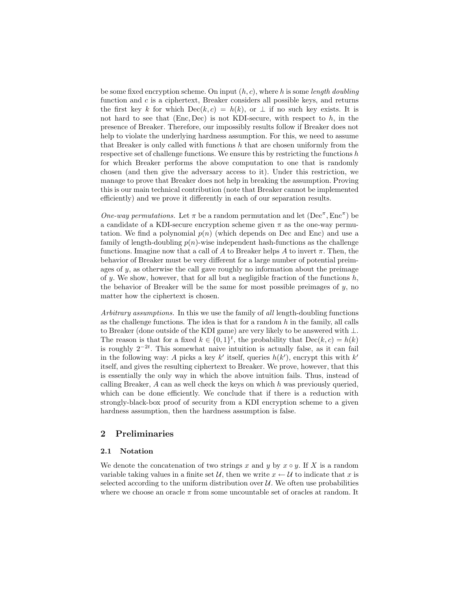be some fixed encryption scheme. On input  $(h, c)$ , where h is some length doubling function and c is a ciphertext, Breaker considers all possible keys, and returns the first key k for which  $\text{Dec}(k, c) = h(k)$ , or  $\perp$  if no such key exists. It is not hard to see that  $(Enc, Dec)$  is not KDI-secure, with respect to  $h$ , in the presence of Breaker. Therefore, our impossibly results follow if Breaker does not help to violate the underlying hardness assumption. For this, we need to assume that Breaker is only called with functions  $h$  that are chosen uniformly from the respective set of challenge functions. We ensure this by restricting the functions  $h$ for which Breaker performs the above computation to one that is randomly chosen (and then give the adversary access to it). Under this restriction, we manage to prove that Breaker does not help in breaking the assumption. Proving this is our main technical contribution (note that Breaker cannot be implemented efficiently) and we prove it differently in each of our separation results.

One-way permutations. Let  $\pi$  be a random permutation and let  $(Dec^{\pi}, Enc^{\pi})$  be a candidate of a KDI-secure encryption scheme given  $\pi$  as the one-way permutation. We find a polynomial  $p(n)$  (which depends on Dec and Enc) and use a family of length-doubling  $p(n)$ -wise independent hash-functions as the challenge functions. Imagine now that a call of A to Breaker helps A to invert  $\pi$ . Then, the behavior of Breaker must be very different for a large number of potential preimages of y, as otherwise the call gave roughly no information about the preimage of y. We show, however, that for all but a negligible fraction of the functions  $h$ , the behavior of Breaker will be the same for most possible preimages of  $y$ , no matter how the ciphertext is chosen.

Arbitrary assumptions. In this we use the family of all length-doubling functions as the challenge functions. The idea is that for a random  $h$  in the family, all calls to Breaker (done outside of the KDI game) are very likely to be answered with  $\perp$ . The reason is that for a fixed  $k \in \{0,1\}^t$ , the probability that  $Dec(k, c) = h(k)$ is roughly  $2^{-2t}$ . This somewhat naive intuition is actually false, as it can fail in the following way: A picks a key k' itself, queries  $h(k')$ , encrypt this with k' itself, and gives the resulting ciphertext to Breaker. We prove, however, that this is essentially the only way in which the above intuition fails. Thus, instead of calling Breaker,  $A$  can as well check the keys on which  $h$  was previously queried, which can be done efficiently. We conclude that if there is a reduction with strongly-black-box proof of security from a KDI encryption scheme to a given hardness assumption, then the hardness assumption is false.

# 2 Preliminaries

## 2.1 Notation

We denote the concatenation of two strings x and y by  $x \circ y$ . If X is a random variable taking values in a finite set U, then we write  $x \leftarrow U$  to indicate that x is selected according to the uniform distribution over  $\mathcal{U}$ . We often use probabilities where we choose an oracle  $\pi$  from some uncountable set of oracles at random. It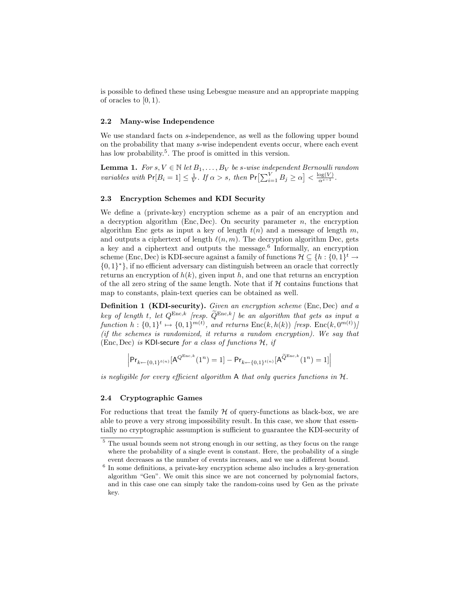is possible to defined these using Lebesgue measure and an appropriate mapping of oracles to  $[0, 1)$ .

#### 2.2 Many-wise Independence

We use standard facts on s-independence, as well as the following upper bound on the probability that many s-wise independent events occur, where each event has low probability.<sup>5</sup>. The proof is omitted in this version.

**Lemma 1.** For  $s, V \in \mathbb{N}$  let  $B_1, \ldots, B_V$  be s-wise independent Bernoulli random variables with  $Pr[B_i = 1] \leq \frac{1}{V}$ . If  $\alpha > s$ , then  $Pr[\sum_{i=1}^{V} B_i \geq \alpha] < \frac{\log(V)}{\alpha^{s-1}}$ .

#### 2.3 Encryption Schemes and KDI Security

We define a (private-key) encryption scheme as a pair of an encryption and a decryption algorithm (Enc, Dec). On security parameter  $n$ , the encryption algorithm Enc gets as input a key of length  $t(n)$  and a message of length m, and outputs a ciphertext of length  $\ell(n, m)$ . The decryption algorithm Dec, gets a key and a ciphertext and outputs the message.<sup>6</sup> Informally, an encryption scheme (Enc, Dec) is KDI-secure against a family of functions  $\mathcal{H} \subseteq \{h : \{0,1\}^t \to$ {0, 1} <sup>∗</sup>}, if no efficient adversary can distinguish between an oracle that correctly returns an encryption of  $h(k)$ , given input h, and one that returns an encryption of the all zero string of the same length. Note that if  $H$  contains functions that map to constants, plain-text queries can be obtained as well.

Definition 1 (KDI-security). Given an encryption scheme (Enc, Dec) and a key of length t, let  $Q^{\text{Enc},k}$  [resp.  $\widetilde{Q}^{\text{Enc},k}$ ] be an algorithm that gets as input a function  $h: \{0,1\}^t \mapsto \{0,1\}^{m(t)}$ , and returns  $\text{Enc}(k, h(k))$  [resp.  $\text{Enc}(k, 0^{m(t)})$ ] (if the schemes is randomized, it returns a random encryption). We say that (Enc, Dec) is KDI-secure for a class of functions  $H$ , if

$$
\left| \Pr_{k \leftarrow \{0,1\}^{t(n)}}[\mathsf{A}^{Q^{\mathrm{Enc},k}}(1^n) = 1] - \Pr_{k \leftarrow \{0,1\}^{t(n)}}[\mathsf{A}^{\widetilde{Q}^{\mathrm{Enc},k}}(1^n) = 1] \right|
$$

is negligible for every efficient algorithm  $A$  that only queries functions in  $H$ .

# 2.4 Cryptographic Games

For reductions that treat the family  $H$  of query-functions as black-box, we are able to prove a very strong impossibility result. In this case, we show that essentially no cryptographic assumption is sufficient to guarantee the KDI-security of

<sup>&</sup>lt;sup>5</sup> The usual bounds seem not strong enough in our setting, as they focus on the range where the probability of a single event is constant. Here, the probability of a single event decreases as the number of events increases, and we use a different bound.

<sup>6</sup> In some definitions, a private-key encryption scheme also includes a key-generation algorithm "Gen". We omit this since we are not concerned by polynomial factors, and in this case one can simply take the random-coins used by Gen as the private key.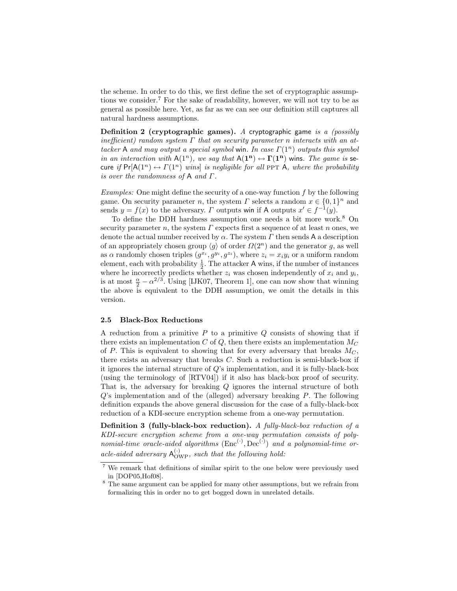the scheme. In order to do this, we first define the set of cryptographic assumptions we consider.<sup>7</sup> For the sake of readability, however, we will not try to be as general as possible here. Yet, as far as we can see our definition still captures all natural hardness assumptions.

**Definition 2 (cryptographic games).** A cryptographic game is a (possibly inefficient) random system  $\Gamma$  that on security parameter n interacts with an attacker A and may output a special symbol win. In case  $\Gamma(1^n)$  outputs this symbol in an interaction with  $A(1^n)$ , we say that  $A(1^n) \leftrightarrow \Gamma(1^n)$  wins. The game is secure if  $Pr[A(1^n) \leftrightarrow F(1^n)$  wins is negligible for all PPT A, where the probability is over the randomness of A and Γ.

Examples: One might define the security of a one-way function f by the following game. On security parameter *n*, the system  $\Gamma$  selects a random  $x \in \{0,1\}^n$  and sends  $y = f(x)$  to the adversary.  $\Gamma$  outputs win if A outputs  $x' \in f^{-1}(y)$ .

To define the DDH hardness assumption one needs a bit more work.<sup>8</sup> On security parameter n, the system  $\Gamma$  expects first a sequence of at least n ones, we denote the actual number received by  $\alpha$ . The system  $\Gamma$  then sends A a description of an appropriately chosen group  $\langle g \rangle$  of order  $\Omega(2^n)$  and the generator g, as well as  $\alpha$  randomly chosen triples  $(g^{x_i}, g^{y_i}, g^{z_i})$ , where  $z_i = x_i y_i$  or a uniform random element, each with probability  $\frac{1}{2}$ . The attacker A wins, if the number of instances where he incorrectly predicts whether  $z_i$  was chosen independently of  $x_i$  and  $y_i$ , is at most  $\frac{\alpha}{2} - \alpha^{2/3}$ . Using [IJK07, Theorem 1], one can now show that winning the above is equivalent to the DDH assumption, we omit the details in this version.

#### 2.5 Black-Box Reductions

A reduction from a primitive  $P$  to a primitive  $Q$  consists of showing that if there exists an implementation C of Q, then there exists an implementation  $M_C$ of P. This is equivalent to showing that for every adversary that breaks  $M_C$ , there exists an adversary that breaks C. Such a reduction is semi-black-box if it ignores the internal structure of Q's implementation, and it is fully-black-box (using the terminology of [RTV04]) if it also has black-box proof of security. That is, the adversary for breaking Q ignores the internal structure of both Q's implementation and of the (alleged) adversary breaking P. The following definition expands the above general discussion for the case of a fully-black-box reduction of a KDI-secure encryption scheme from a one-way permutation.

Definition 3 (fully-black-box reduction). A fully-black-box reduction of a KDI-secure encryption scheme from a one-way permutation consists of polynomial-time oracle-aided algorithms  $(\text{Enc}^{(\cdot)}, \text{Dec}^{(\cdot)})$  and a polynomial-time oracle-aided adversary  $A_{\text{OWP}}^{(.)}$ , such that the following hold:

<sup>&</sup>lt;sup>7</sup> We remark that definitions of similar spirit to the one below were previously used in [DOP05,Hof08].

<sup>&</sup>lt;sup>8</sup> The same argument can be applied for many other assumptions, but we refrain from formalizing this in order no to get bogged down in unrelated details.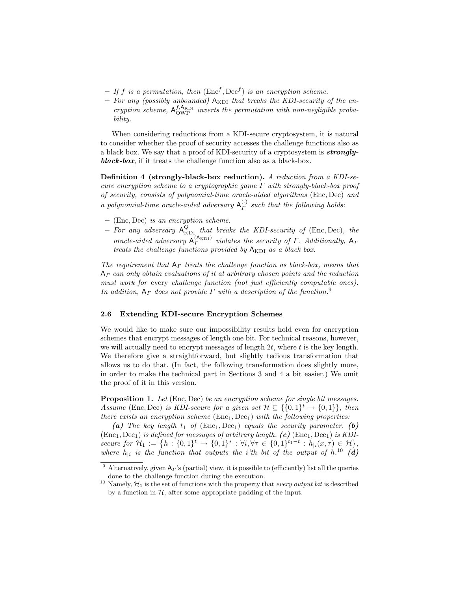- If f is a permutation, then  $(\text{Enc}^f, \text{Dec}^f)$  is an encryption scheme.
- $-$  For any (possibly unbounded)  $A_{KDI}$  that breaks the KDI-security of the encryption scheme,  $A_{\text{OWP}}^{f, A_{\text{KDI}}}$  inverts the permutation with non-negligible probability.

When considering reductions from a KDI-secure cryptosystem, it is natural to consider whether the proof of security accesses the challenge functions also as a black box. We say that a proof of KDI-security of a cryptosystem is strongly**black-box**, if it treats the challenge function also as a black-box.

Definition 4 (strongly-black-box reduction). A reduction from a KDI-secure encryption scheme to a cryptographic game  $\Gamma$  with strongly-black-box proof of security, consists of polynomial-time oracle-aided algorithms (Enc, Dec) and a polynomial-time oracle-aided adversary  $A_{\Gamma}^{(\cdot)}$  $\Gamma_I^{(+)}$  such that the following holds:

- (Enc, Dec) is an encryption scheme.
- $-$  For any adversary  $A^Q_{K\mathrm{DI}}$  that breaks the KDI-security of (Enc, Dec), the oracle-aided adversary  $A_{\Gamma}^{(A_{KDI})}$  violates the security of  $\Gamma$ . Additionally,  $A_{\Gamma}$ treats the challenge functions provided by  $A_{KDI}$  as a black box.

The requirement that  $A_{\Gamma}$  treats the challenge function as black-box, means that  $A<sub>r</sub>$  can only obtain evaluations of it at arbitrary chosen points and the reduction must work for every challenge function (not just efficiently computable ones). In addition,  $A_{\Gamma}$  does not provide  $\Gamma$  with a description of the function.<sup>9</sup>

#### 2.6 Extending KDI-secure Encryption Schemes

We would like to make sure our impossibility results hold even for encryption schemes that encrypt messages of length one bit. For technical reasons, however, we will actually need to encrypt messages of length  $2t$ , where t is the key length. We therefore give a straightforward, but slightly tedious transformation that allows us to do that. (In fact, the following transformation does slightly more, in order to make the technical part in Sections 3 and 4 a bit easier.) We omit the proof of it in this version.

**Proposition 1.** Let (Enc, Dec) be an encryption scheme for single bit messages. Assume (Enc, Dec) is KDI-secure for a given set  $\mathcal{H} \subseteq \{\{0,1\}^t \to \{0,1\}\}\$ , then there exists an encryption scheme  $(Enc_1, Dec_1)$  with the following properties:

(a) The key length  $t_1$  of  $(\text{Enc}_1, \text{Dec}_1)$  equals the security parameter. (b)  $(Enc<sub>1</sub>, Dec<sub>1</sub>)$  is defined for messages of arbitrary length. (c)  $(Enc<sub>1</sub>, Dec<sub>1</sub>)$  is KDIsecure for  $\mathcal{H}_1 := \{h : \{0,1\}^t \to \{0,1\}^* : \forall i, \forall \tau \in \{0,1\}^{t_1 - t} : h_{|i}(x,\tau) \in \mathcal{H}\},\$ where  $h_{\parallel i}$  is the function that outputs the *i*'th bit of the output of h.<sup>10</sup> (d)

<sup>&</sup>lt;sup>9</sup> Alternatively, given  $A_\Gamma$ 's (partial) view, it is possible to (efficiently) list all the queries done to the challenge function during the execution.

<sup>&</sup>lt;sup>10</sup> Namely,  $H_1$  is the set of functions with the property that every output bit is described by a function in  $H$ , after some appropriate padding of the input.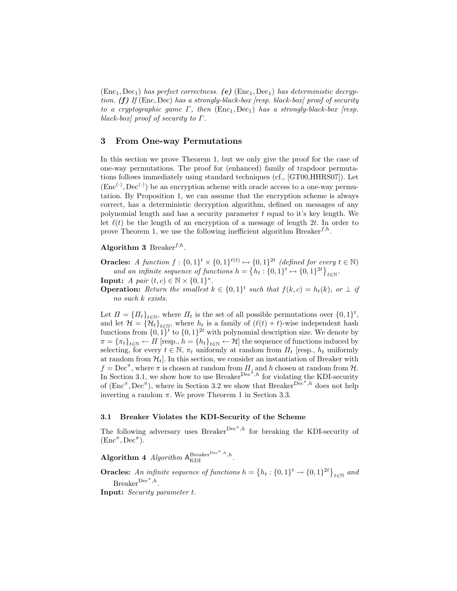$(Enc<sub>1</sub>, Dec<sub>1</sub>)$  has perfect correctness. (e)  $(Enc<sub>1</sub>, Dec<sub>1</sub>)$  has deterministic decryption. (f) If (Enc, Dec) has a strongly-black-box [resp. black-box] proof of security to a cryptographic game  $\Gamma$ , then  $(Enc_1, Dec_1)$  has a strongly-black-box [resp. black-box] proof of security to  $\Gamma$ .

# 3 From One-way Permutations

In this section we prove Theorem 1, but we only give the proof for the case of one-way permutations. The proof for (enhanced) family of trapdoor permutations follows immediately using standard techniques (cf., [GT00,HHRS07]). Let  $(Enc^{(\cdot)}, Dec^{(\cdot)})$  be an encryption scheme with oracle access to a one-way permutation. By Proposition 1, we can assume that the encryption scheme is always correct, has a deterministic decryption algorithm, defined on messages of any polynomial length and has a security parameter  $t$  equal to it's key length. We let  $\ell(t)$  be the length of an encryption of a message of length 2t. In order to prove Theorem 1, we use the following inefficient algorithm Breaker<sup> $f,h$ </sup>.

# Algorithm 3 Breaker $^{f,h}$ .

- **Oracles:** A function  $f: \{0,1\}^t \times \{0,1\}^{\ell(t)} \mapsto \{0,1\}^{2t}$  (defined for every  $t \in \mathbb{N}$ ) and an infinite sequence of functions  $h = \{h_t : \{0,1\}^t \mapsto \{0,1\}^{2t}\}_{t \in \mathbb{N}}$ .
- Input: A pair  $(t, c) \in \mathbb{N} \times \{0, 1\}^*$ .
- **Operation:** Return the smallest  $k \in \{0,1\}^t$  such that  $f(k,c) = h_t(k)$ , or  $\perp$  if no such k exists.

Let  $\Pi = \{ \Pi_t \}_{t \in \mathbb{N}}$ , where  $\Pi_t$  is the set of all possible permutations over  $\{0,1\}^t$ , and let  $\mathcal{H} = {\mathcal{H}_t}_{t \in \mathbb{N}}$ , where  $h_t$  is a family of  $(\ell(t) + t)$ -wise independent hash functions from  $\{0,1\}^t$  to  $\{0,1\}^{2t}$  with polynomial description size. We denote by  $\pi = {\{\pi_t\}}_{t \in \mathbb{N}} \leftarrow H$  [resp.,  $h = {\{h_t\}}_{t \in \mathbb{N}} \leftarrow H$ ] the sequence of functions induced by selecting, for every  $t \in \mathbb{N}$ ,  $\pi_t$  uniformly at random from  $\Pi_t$  [resp.,  $h_t$  uniformly at random from  $\mathcal{H}_t$ . In this section, we consider an instantiation of Breaker with  $f = \text{Dec}^{\pi}$ , where  $\pi$  is chosen at random from  $\Pi$ , and h chosen at random from  $\mathcal{H}$ . In Section 3.1, we show how to use Breaker<sup>Dec<sup> $\star$ </sup>,h for violating the KDI-security</sup> of  $(\text{Enc}^{\pi}, \text{Dec}^{\pi})$ , where in Section 3.2 we show that Breaker<sup>Dec<sub>π,h</sub> does not help</sup> inverting a random  $\pi$ . We prove Theorem 1 in Section 3.3.

# 3.1 Breaker Violates the KDI-Security of the Scheme

The following adversary uses Breaker<sup>Dec<sup>π</sup>,h for breaking the KDI-security of</sup>  $(\text{Enc}^{\pi}, \text{Dec}^{\pi}).$ 

Algorithm 4 Algorithm  $A_{\text{KDI}}^{\text{Breaker}^{\text{Dec}},h,h}$ .

**Oracles:** An infinite sequence of functions  $h = \{h_t : \{0,1\}^t \to \{0,1\}^{2t}\}_{t \in \mathbb{N}}$  and  $B$ reaker $^{\text{Dec}^{\pi},h}$ .

Input: Security parameter t.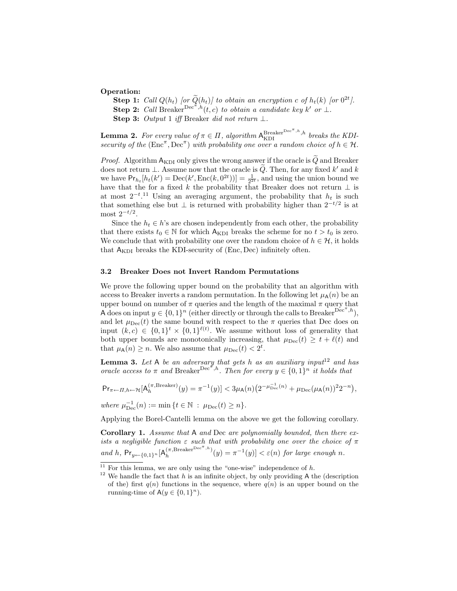Operation:

**Step 1:** Call  $Q(h_t)$  [or  $\widetilde{Q}(h_t)$ ] to obtain an encryption c of  $h_t(k)$  [or  $0^{2t}$ ]. Step 2: Call Breaker<sup>Dec<sup>π</sup>,h(t,c) to obtain a candidate key k' or  $\perp$ .</sup> Step 3: Output 1 iff Breaker did not return  $\bot$ .

**Lemma 2.** For every value of  $\pi \in \Pi$ , algorithm  $A_{\text{KDI}}^{\text{Breaker}^{\text{Dec}},h}, h$  breaks the KDIsecurity of the  $(\text{Enc}^{\pi}, \text{Dec}^{\pi})$  with probability one over a random choice of  $h \in \mathcal{H}$ .

*Proof.* Algorithm  $A_{KDI}$  only gives the wrong answer if the oracle is  $\tilde{Q}$  and Breaker does not return  $\perp$ . Assume now that the oracle is  $\tilde{Q}$ . Then, for any fixed k' and k we have  $Pr_{h_t}[h_t(k')] = \text{Dec}(k', \text{Enc}(k, 0^{2t}))] = \frac{1}{2^{2t}}$ , and using the union bound we have that the for a fixed k the probability that Breaker does not return  $\perp$  is at most  $2^{-t}$ .<sup>11</sup> Using an averaging argument, the probability that  $h_t$  is such that something else but  $\perp$  is returned with probability higher than  $2^{-t/2}$  is at most  $2^{-t/2}$ .

Since the  $h_t \in h$ 's are chosen independently from each other, the probability that there exists  $t_0 \in \mathbb{N}$  for which  $A_{KDI}$  breaks the scheme for no  $t > t_0$  is zero. We conclude that with probability one over the random choice of  $h \in \mathcal{H}$ , it holds that  $A_{KDI}$  breaks the KDI-security of (Enc, Dec) infinitely often.

#### 3.2 Breaker Does not Invert Random Permutations

We prove the following upper bound on the probability that an algorithm with access to Breaker inverts a random permutation. In the following let  $\mu_A(n)$  be an upper bound on number of  $\pi$  queries and the length of the maximal  $\pi$  query that A does on input  $y \in \{0,1\}^n$  (either directly or through the calls to Breaker<sup>Dec<sup>π</sup>,h),</sup> and let  $\mu_{\text{Dec}}(t)$  the same bound with respect to the  $\pi$  queries that Dec does on input  $(k, c) \in \{0, 1\}^t \times \{0, 1\}^{\ell(t)}$ . We assume without loss of generality that both upper bounds are monotonically increasing, that  $\mu_{\text{Dec}}(t) \geq t + \ell(t)$  and that  $\mu_{\mathsf{A}}(n) \geq n$ . We also assume that  $\mu_{\text{Dec}}(t) < 2^t$ .

**Lemma 3.** Let A be an adversary that gets h as an auxiliary input<sup>12</sup> and has oracle access to  $\pi$  and Breaker<sup>Dec<sup>\*</sup>,h</sup>. Then for every  $y \in \{0,1\}^n$  it holds that

$$
\text{Pr}_{\pi \leftarrow \Pi, h \leftarrow \mathcal{H}}[\mathsf{A}_{h}^{(\pi, \text{Breaker})}(y) = \pi^{-1}(y)] < 3\mu_{\mathsf{A}}(n) \big( 2^{-\mu_{\text{Dec}}^{-1}(n)} + \mu_{\text{Dec}}(\mu_{\mathsf{A}}(n))^{2} 2^{-n} \big),
$$

where  $\mu_{\text{Dec}}^{-1}(n) := \min \{ t \in \mathbb{N} \; : \; \mu_{\text{Dec}}(t) \geq n \}.$ 

Applying the Borel-Cantelli lemma on the above we get the following corollary.

Corollary 1. Assume that A and Dec are polynomially bounded, then there exists a negligible function  $\varepsilon$  such that with probability one over the choice of  $\pi$ and h,  $Pr_{y \leftarrow \{0,1\}^n}$  [A $_{h}^{(\pi,\text{Breaker}^{\text{Dec},\pi},h)}$  $\binom{(\pi,\text{Breaker}^{\text{Dcc}},n)}{h}(y) = \pi^{-1}(y) < \varepsilon(n)$  for large enough n.

 $\frac{11}{11}$  For this lemma, we are only using the "one-wise" independence of h.

<sup>&</sup>lt;sup>12</sup> We handle the fact that h is an infinite object, by only providing A the (description of the) first  $q(n)$  functions in the sequence, where  $q(n)$  is an upper bound on the running-time of  $A(y \in \{0,1\}^n)$ .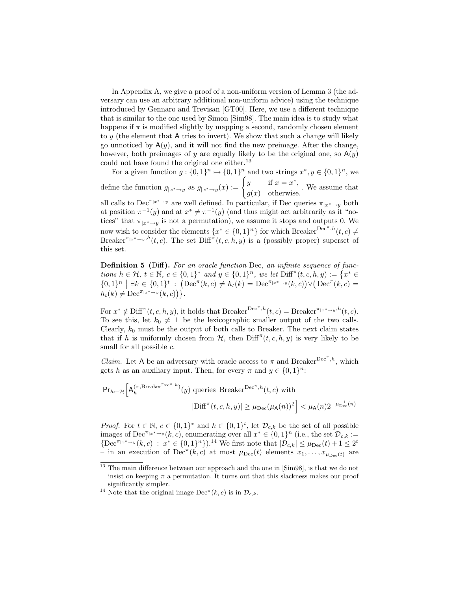In Appendix A, we give a proof of a non-uniform version of Lemma 3 (the adversary can use an arbitrary additional non-uniform advice) using the technique introduced by Gennaro and Trevisan [GT00]. Here, we use a different technique that is similar to the one used by Simon [Sim98]. The main idea is to study what happens if  $\pi$  is modified slightly by mapping a second, randomly chosen element to  $y$  (the element that A tries to invert). We show that such a change will likely go unnoticed by  $A(y)$ , and it will not find the new preimage. After the change, however, both preimages of y are equally likely to be the original one, so  $A(y)$ could not have found the original one either.<sup>13</sup>

For a given function  $g: \{0,1\}^n \mapsto \{0,1\}^n$  and two strings  $x^*, y \in \{0,1\}^n$ , we define the function  $g_{|x^* \to y}$  as  $g_{|x^* \to y}(x) := \begin{cases} y & \text{if } x = x^*, \\ 0 & \text{if } y > 0 \end{cases}$  $g(x)$  otherwise. We assume that all calls to Dec<sup> $\pi$ </sup>|x<sup>\*</sup>→y are well defined. In particular, if Dec queries  $\pi$ <sub>|x\*→y</sub> both at position  $\pi^{-1}(y)$  and at  $x^* \neq \pi^{-1}(y)$  (and thus might act arbitrarily as it "notices" that  $\pi_{x^* \to y}$  is not a permutation), we assume it stops and outputs 0. We now wish to consider the elements  $\{x^* \in \{0,1\}^n\}$  for which Breaker<sup>Dec<sup>π</sup>,h<sub>(t, c)</sub>  $\neq$ </sup> Breaker<sup> $\pi$ <sub>1</sub>x<sup>\*</sup>→y,h<sub></sub>(t, c). The set Diff<sup> $\pi$ </sup>(t, c, h, y) is a (possibly proper) superset of</sup> this set.

**Definition 5** (Diff). For an oracle function Dec, an infinite sequence of functions  $h \in \mathcal{H}, t \in \mathbb{N}, c \in \{0,1\}^*$  and  $y \in \{0,1\}^n$ , we let  $\text{Diff}^{\pi}(t, c, h, y) := \{x^* \in \mathbb{N}\}$  ${0, 1}^n \mid \exists k \in \{0, 1\}^t : \left( \text{Dec}^{\pi}(k, c) \neq h_t(k) = \text{Dec}^{\pi_{|x^* \to y}}(k, c) \right) \vee \left( \text{Dec}^{\pi}(k, c) \neq h_t(k) \right)$  $h_t(k) \neq \text{Dec}^{\pi_{|x^* \to y}}(k, c)$ 

For  $x^* \notin \text{Diff}^{\pi}(t, c, h, y)$ , it holds that Breaker<sup>Dec<sup> $\pi, h(t, c) = \text{Breaker}^{\pi_{|x^* \to y}, h}(t, c)$ .</sup></sup> To see this, let  $k_0 \neq \perp$  be the lexicographic smaller output of the two calls. Clearly,  $k_0$  must be the output of both calls to Breaker. The next claim states that if h is uniformly chosen from  $H$ , then  $\text{Diff}^{\pi}(t, c, h, y)$  is very likely to be small for all possible  $c$ .

*Claim.* Let A be an adversary with oracle access to  $\pi$  and Breaker<sup>Dec<sup> $\pi$ </sup>,h, which</sup> gets h as an auxiliary input. Then, for every  $\pi$  and  $y \in \{0,1\}^n$ :

$$
\mathsf{Pr}_{h \leftarrow \mathcal{H}} \Big[ \mathsf{A}_{h}^{(\pi, \text{Breaker}^{\text{Dec}^{\pi}, h})}(y) \text{ queries } \text{Breaker}^{\text{Dec}^{\pi}, h}(t, c) \text{ with}
$$

$$
|\text{Diff}^{\pi}(t, c, h, y)| \geq \mu_{\text{Dec}}(\mu_{\mathsf{A}}(n))^2 \Big] < \mu_{\mathsf{A}}(n) 2^{-\mu_{\text{Dec}}^{-1}(n)}
$$

*Proof.* For  $t \in \mathbb{N}$ ,  $c \in \{0,1\}^*$  and  $k \in \{0,1\}^t$ , let  $\mathcal{D}_{c,k}$  be the set of all possible images of Dec<sup> $\pi$ <sub>|x<sup>\*</sup>→y</sub>(k, c), enumerating over all  $x^* \in \{0,1\}^n$  (i.e., the set  $\mathcal{D}_{c,k}$  :=</sup>  ${ {\rm Dec}^{\pi_{|x^* \to y}}(k,c) : x^* \in \{0,1\}^n \}}$ .<sup>14</sup> We first note that  $|\mathcal{D}_{c,k}| \leq \mu_{\text{Dec}}(t) + 1 \leq 2^t$ – in an execution of  $\text{Dec}^{\pi}(k, c)$  at most  $\mu_{\text{Dec}}(t)$  elements  $x_1, \ldots, x_{\mu_{\text{Dec}}(t)}$  are

<sup>&</sup>lt;sup>13</sup> The main difference between our approach and the one in [Sim98], is that we do not insist on keeping  $\pi$  a permutation. It turns out that this slackness makes our proof significantly simpler.

<sup>&</sup>lt;sup>14</sup> Note that the original image Dec<sup> $\pi$ </sup>( $k, c$ ) is in  $\mathcal{D}_{c,k}$ .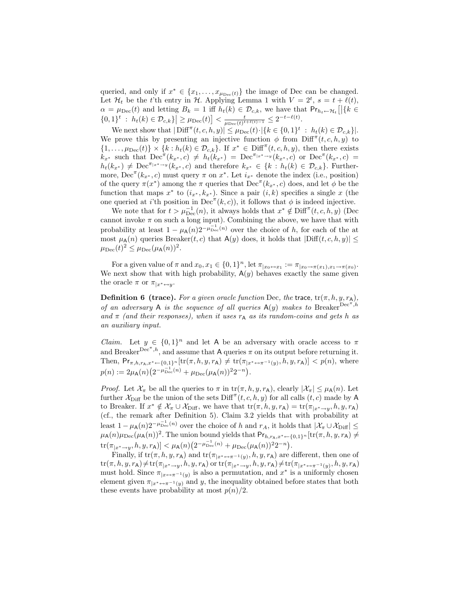queried, and only if  $x^* \in \{x_1, \ldots, x_{\mu_{\text{Dec}}(t)}\}$  the image of Dec can be changed. Let  $\mathcal{H}_t$  be the t'th entry in  $\mathcal{H}$ . Applying Lemma 1 with  $V = 2^t$ ,  $s = t + \ell(t)$ ,  $\alpha = \mu_{\text{Dec}}(t)$  and letting  $B_k = 1$  iff  $h_t(k) \in \mathcal{D}_{c,k}$ , we have that  $\Pr_{h_t \leftarrow \mathcal{H}_t} [|\{k \in \mathcal{L}_t\}_{k=1}^K]$  $\{0,1\}^t : h_t(k) \in \mathcal{D}_{c,k}\} \geq \mu_{\text{Dec}}(t) \leq \frac{t}{\mu_{\text{Dec}}(t)^{t+\ell(t)-1}} \leq 2^{-t-\ell(t)}.$ 

We next show that  $|\text{Diff}^{\pi}(t, c, h, y)| \leq \mu_{\text{Dec}}(t) \cdot |\{k \in \{0, 1\}^t : h_t(k) \in \mathcal{D}_{c,k}\}|.$ We prove this by presenting an injective function  $\phi$  from  $\text{Diff}^{\pi}(t, c, h, y)$  to  $\{1,\ldots,\mu_{\text{Dec}}(t)\}\times\{k:h_t(k)\in\mathcal{D}_{c,k}\}.$  If  $x^*\in\text{Diff}^{\pi}(t,c,h,y)$ , then there exists  $k_{x^*}$  such that  $\mathrm{Dec}^{\pi}(k_{x^*}, c) \neq h_t(k_{x^*}) = \mathrm{Dec}^{\pi_{|x^* \to y}}(k_{x^*}, c)$  or  $\mathrm{Dec}^{\pi}(k_{x^*}, c) =$  $h_t(k_{x^*}) \neq \text{Dec}^{\pi_{|x^* \to y}}(k_{x^*}, c)$  and therefore  $k_{x^*} \in \{k : h_t(k) \in \mathcal{D}_{c,k}\}.$  Furthermore,  $\text{Dec}^{\pi}(k_{x^*}, c)$  must query  $\pi$  on  $x^*$ . Let  $i_{x^*}$  denote the index (i.e., position) of the query  $\pi(x^*)$  among the  $\pi$  queries that  $\text{Dec}^{\pi}(k_{x^*}, c)$  does, and let  $\phi$  be the function that maps  $x^*$  to  $(i_{x^*}, k_{x^*})$ . Since a pair  $(i, k)$  specifies a single x (the one queried at *i*'th position in  $\text{Dec}^{\pi}(k, c)$ , it follows that  $\phi$  is indeed injective.

We note that for  $t > \mu_{\text{Dec}}^{-1}(n)$ , it always holds that  $x^* \notin \text{Diff}^{\pi}(t, c, h, y)$  (Dec cannot invoke  $\pi$  on such a long input). Combining the above, we have that with probability at least  $1 - \mu_A(n)2^{-\mu_{\text{Dec}}^{-1}(n)}$  over the choice of h, for each of the at most  $\mu_A(n)$  queries Breaker $(t, c)$  that  $A(y)$  does, it holds that  $|\text{Diff}(t, c, h, y)| \le$  $\mu_{\text{Dec}}(t)^2 \leq \mu_{\text{Dec}}(\mu_{\mathsf{A}}(n))^2.$ 

For a given value of  $\pi$  and  $x_0, x_1 \in \{0, 1\}^n$ , let  $\pi_{|x_0 \leftrightarrow x_1} := \pi_{|x_0 \to \pi(x_1), x_1 \to \pi(x_0)}$ . We next show that with high probability,  $A(y)$  behaves exactly the same given the oracle  $\pi$  or  $\pi_{x^* \leftrightarrow y}$ .

**Definition 6 (trace).** For a given oracle function Dec, the trace,  $tr(\pi, h, y, r_A)$ , of an adversary A is the sequence of all queries  $A(y)$  makes to Breaker<sup>Dec<sup>n</sup>,h</sup> and  $\pi$  (and their responses), when it uses  $r_A$  as its random-coins and gets h as an auxiliary input.

*Claim.* Let  $y \in \{0,1\}^n$  and let A be an adversary with oracle access to  $\pi$ and Breaker<sup>Dec<sup>π</sup>,h, and assume that A queries  $\pi$  on its output before returning it.</sup> Then,  $Pr_{\pi, h, r_A, x^* \leftarrow \{0,1\}^n} [\text{tr}(\pi, h, y, r_A) \neq \text{tr}(\pi_{|x^* \leftrightarrow \pi^{-1}(y)}, h, y, r_A)] < p(n)$ , where  $p(n) := 2\mu_{\mathsf{A}}(n)\left(2^{-\mu_{\mathrm{Dec}}^{-1}(n)} + \mu_{\mathrm{Dec}}(\mu_{\mathsf{A}}(n))^{2}2^{-n}\right).$ 

*Proof.* Let  $\mathcal{X}_{\pi}$  be all the queries to  $\pi$  in  $\text{tr}(\pi, h, y, r_A)$ , clearly  $|\mathcal{X}_{\pi}| \leq \mu_A(n)$ . Let further  $\mathcal{X}_{\text{Diff}}$  be the union of the sets  $\text{Diff}^{\pi}(t, c, h, y)$  for all calls  $(t, c)$  made by A to Breaker. If  $x^* \notin \mathcal{X}_{\pi} \cup \mathcal{X}_{\text{Diff}}$ , we have that  $\text{tr}(\pi, h, y, r_A) = \text{tr}(\pi_{|x^* \to y}, h, y, r_A)$ (cf., the remark after Definition 5). Claim 3.2 yields that with probability at least  $1 - \mu_A(n) 2^{-\mu_{Dec}^{-1}(n)}$  over the choice of h and  $r_A$ , it holds that  $|\mathcal{X}_\pi \cup \mathcal{X}_{Def}| \le$  $\mu_{\mathsf{A}}(n)\mu_{\text{Dec}}(\mu_{\mathsf{A}}(n))^2$ . The union bound yields that  $\mathsf{Pr}_{h,r_{\mathsf{A}},x^*\leftarrow\{0,1\}^n}[\text{tr}(\pi,h,y,r_{\mathsf{A}})\neq$  $\mathrm{tr}(\pi_{|x^* \to y}, h, y, r_A)] < \mu_{\mathsf{A}}(n) \big( 2^{-\mu_{\mathrm{Dec}}^{-1}(n)} + \mu_{\mathrm{Dec}}(\mu_{\mathsf{A}}(n))^{2} 2^{-n} \big).$ 

Finally, if  $tr(\pi, h, y, r_A)$  and  $tr(\pi_{|x^* \leftrightarrow \pi^{-1}(y)}, h, y, r_A)$  are different, then one of  $\mathrm{tr}(\pi, h, y, r_{\mathsf{A}}) \neq \mathrm{tr}(\pi_{|x^* \to y}, h, y, r_{\mathsf{A}}) \text{ or } \mathrm{tr}(\pi_{|x^* \to y}, h, y, r_{\mathsf{A}}) \neq \mathrm{tr}(\pi_{|x^* \leftrightarrow \pi^{-1}(y)}, h, y, r_{\mathsf{A}})$ must hold. Since  $\pi_{x \leftrightarrow \pi^{-1}(y)}$  is also a permutation, and  $x^*$  is a uniformly chosen element given  $\pi_{x^*\leftrightarrow \pi^{-1}(y)}$  and y, the inequality obtained before states that both these events have probability at most  $p(n)/2$ .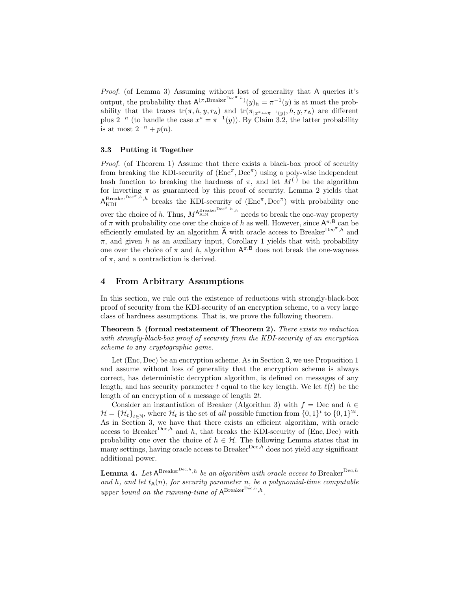Proof. (of Lemma 3) Assuming without lost of generality that A queries it's output, the probability that  $\mathsf{A}^{(\pi,\text{Breaker}^{\text{Dec}},h)}(y)_h = \pi^{-1}(y)$  is at most the probability that the traces  $tr(\pi, h, y, r_A)$  and  $tr(\pi_{|x^*\leftrightarrow \pi^{-1}(y)}, h, y, r_A)$  are different plus  $2^{-n}$  (to handle the case  $x^* = \pi^{-1}(y)$ ). By Claim 3.2, the latter probability is at most  $2^{-n} + p(n)$ .

## 3.3 Putting it Together

Proof. (of Theorem 1) Assume that there exists a black-box proof of security from breaking the KDI-security of  $(\text{Enc}^{\pi}, \text{Dec}^{\pi})$  using a poly-wise independent hash function to breaking the hardness of  $\pi$ , and let  $M^{(1)}$  be the algorithm for inverting  $\pi$  as guaranteed by this proof of security. Lemma 2 yields that  $A_{\text{KDI}}^{\text{BreakerDec}}$ <sup>n,h</sup>,h breaks the KDI-security of  $(\text{Enc}^{\pi}, \text{Dec}^{\pi})$  with probability one over the choice of h. Thus,  $M_{\text{KDI}}^{\text{BreakerDec}}$ ,<sup>h</sup>,h needs to break the one-way property of  $\pi$  with probability one over the choice of h as well. However, since  $A^{\pi,B}$  can be efficiently emulated by an algorithm  $\widetilde{A}$  with oracle access to Breaker<sup>Dec<sup>π</sup>,h and</sup>  $\pi$ , and given h as an auxiliary input, Corollary 1 yields that with probability one over the choice of  $\pi$  and h, algorithm  $A^{\pi,B}$  does not break the one-wayness of  $\pi$ , and a contradiction is derived.

# 4 From Arbitrary Assumptions

In this section, we rule out the existence of reductions with strongly-black-box proof of security from the KDI-security of an encryption scheme, to a very large class of hardness assumptions. That is, we prove the following theorem.

Theorem 5 (formal restatement of Theorem 2). There exists no reduction with strongly-black-box proof of security from the KDI-security of an encryption scheme to any cryptographic game.

Let (Enc, Dec) be an encryption scheme. As in Section 3, we use Proposition 1 and assume without loss of generality that the encryption scheme is always correct, has deterministic decryption algorithm, is defined on messages of any length, and has security parameter t equal to the key length. We let  $\ell(t)$  be the length of an encryption of a message of length 2t.

Consider an instantiation of Breaker (Algorithm 3) with  $f = \text{Dec}$  and  $h \in$  $\mathcal{H} = {\mathcal{H}_t}_{t \in \mathbb{N}},$  where  $\mathcal{H}_t$  is the set of all possible function from  $\{0, 1\}^t$  to  $\{0, 1\}^{2t}$ . As in Section 3, we have that there exists an efficient algorithm, with oracle access to Breaker $^{\text{Dec},h}$  and h, that breaks the KDI-security of (Enc, Dec) with probability one over the choice of  $h \in \mathcal{H}$ . The following Lemma states that in many settings, having oracle access to Breaker $^{\text{Dec},h}$  does not yield any significant additional power.

**Lemma 4.** Let  $A^{\text{Breaker}^{\text{Dec},h},h}$  be an algorithm with oracle access to Breaker<sup>Dec,h</sup> and h, and let  $t_{\mathsf{A}}(n)$ , for security parameter n, be a polynomial-time computable upper bound on the running-time of  $A^{\text{Breaker}^{\text{Dec},h},h}$ .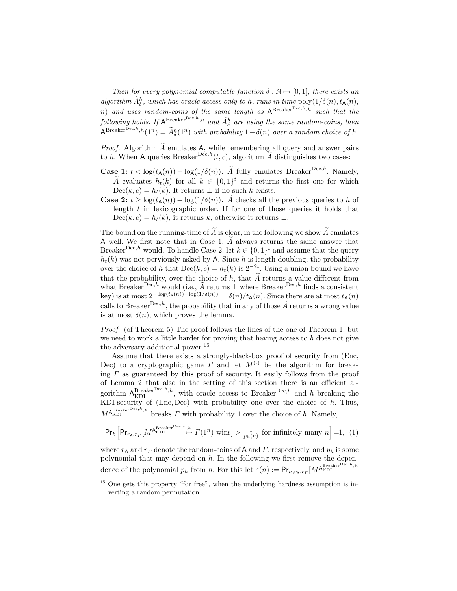Then for every polynomial computable function  $\delta : \mathbb{N} \mapsto [0, 1]$ , there exists an algorithm  $\widetilde{A}_{\delta}^h$ , which has oracle access only to h, runs in time  $\text{poly}(1/\delta(n), t_{\mathsf{A}}(n))$ , n) and uses random-coins of the same length as  $A^{\text{Breaker}^{\text{Dec},h},h}$  such that the following holds. If  $A^{\text{Breaker}\text{Dec},h}, h$  and  $\widetilde{A}_{\delta}^{h}$  are using the same random-coins, then  $A^{\text{Breaker}^{\text{Dec},h},h}(1^n) = \widetilde{A}_{\delta}^h(1^n)$  with probability  $1-\delta(n)$  over a random choice of h.

*Proof.* Algorithm  $\widetilde{A}$  emulates A, while remembering all query and answer pairs to h. When A queries Breaker<sup>Dec,h</sup>(t, c), algorithm  $\widetilde{A}$  distinguishes two cases:

- **Case 1:**  $t < \log(t_A(n)) + \log(1/\delta(n))$ . A fully emulates Breaker<sup>Dec,h</sup>. Namely, A evaluates  $h_t(k)$  for all  $k \in \{0,1\}^t$  and returns the first one for which  $Dec(k, c) = h_t(k)$ . It returns  $\perp$  if no such k exists.
- **Case 2:**  $t \geq \log(t_A(n)) + \log(1/\delta(n))$ . A checks all the previous queries to h of length  $t$  in lexicographic order. If for one of those queries it holds that  $Dec(k, c) = h_t(k)$ , it returns k, otherwise it returns  $\perp$ .

The bound on the running-time of  $\overline{A}$  is clear, in the following we show  $\overline{A}$  emulates A well. We first note that in Case 1,  $\ddot{A}$  always returns the same answer that Breaker<sup>Dec,h</sup> would. To handle Case 2, let  $k \in \{0,1\}^t$  and assume that the query  $h_t(k)$  was not perviously asked by A. Since h is length doubling, the probability over the choice of h that  $\text{Dec}(k, c) = h_t(k)$  is  $2^{-2t}$ . Using a union bound we have that the probability, over the choice of h, that  $\widetilde{A}$  returns a value different from what Breaker<sup>Dec,h</sup> would (i.e.,  $\widetilde{A}$  returns  $\perp$  where Breaker<sup>Dec,h</sup> finds a consistent key) is at most  $2^{-\log(t_{\mathsf{A}}(n))-\log(1/\delta(n))} = \delta(n)/t_{\mathsf{A}}(n)$ . Since there are at most  $t_{\mathsf{A}}(n)$ calls to Breaker<sup>Dec,h</sup>, the probability that in any of those  $\widetilde{A}$  returns a wrong value is at most  $\delta(n)$ , which proves the lemma.

Proof. (of Theorem 5) The proof follows the lines of the one of Theorem 1, but we need to work a little harder for proving that having access to  $h$  does not give the adversary additional power.<sup>15</sup>

Assume that there exists a strongly-black-box proof of security from (Enc, Dec) to a cryptographic game  $\Gamma$  and let  $M^{(\cdot)}$  be the algorithm for breaking  $\Gamma$  as guaranteed by this proof of security. It easily follows from the proof of Lemma 2 that also in the setting of this section there is an efficient algorithm  $A_{KDI}^{\text{Breaker}^{\text{Dec},h},h}$ , with oracle access to Breaker<sup>Dec,h</sup> and h breaking the KDI-security of  $(Enc, Dec)$  with probability one over the choice of h. Thus,  $M^{\mathsf{A}_{\text{KDI}}^{\text{Breaker}^{\text{Dec},h},h}}$  breaks  $\Gamma$  with probability 1 over the choice of h. Namely,

$$
\Pr_{h}\left[\Pr_{r_{\mathsf{A}},r_{\Gamma}}[M^{\mathsf{A}_{\text{KDI}}^{\text{Breaker}\text{Dec},h},h}\leftrightarrow\Gamma(1^{n})\text{ wins}]>\tfrac{1}{p_{h}(n)}\text{ for infinitely many }n\right]=1,\text{ (1)}
$$

where  $r_A$  and  $r_I$  denote the random-coins of A and  $\Gamma$ , respectively, and  $p_h$  is some polynomial that may depend on  $h$ . In the following we first remove the dependence of the polynomial  $p_h$  from h. For this let  $\varepsilon(n) := \mathsf{Pr}_{h,r_{\mathsf{A}},r_{\Gamma}}[M^{\mathsf{A}_{\text{KDI}}^{\text{Breaker}^{\text{Dec},h},h}}$ 

 $15$  One gets this property "for free", when the underlying hardness assumption is inverting a random permutation.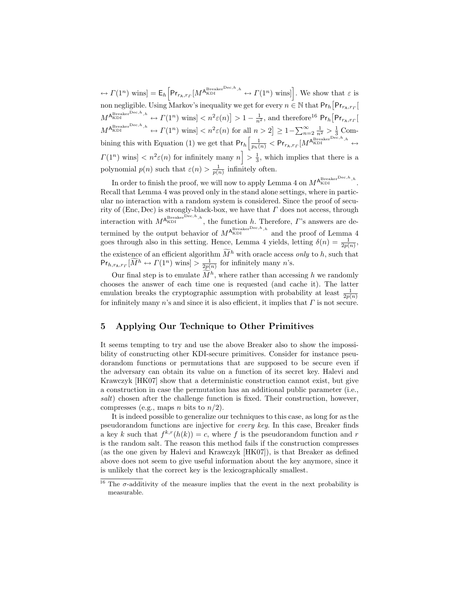$\theta \mapsto \Gamma(1^n)$  wins $] = \mathsf{E}_h \Big[ \mathsf{Pr}_{r_{\mathsf{A}},r_{\Gamma}}[M^{\mathsf{A}_{\text{KDI}}^{\text{PreakerDec},h},h} \leftrightarrow \Gamma(1^n)$  wins $] \Big]$ . We show that  $\varepsilon$  is non negligible. Using Markov's inequality we get for every  $n \in \mathbb{N}$  that  $Pr_h[P_{r_{A, r}}]$  $M^{\mathsf{A}_{\text{KDI}}^{\text{PreakerDec},h},h} \leftrightarrow \Gamma(1^n) \text{ wins} \leq n^2 \varepsilon(n) \geq 1 - \frac{1}{n^2}$ , and therefore<sup>16</sup>  $\mathsf{Pr}_h[\mathsf{Pr}_{r_{\mathsf{A}},r_{\mathsf{F}}}]$  $M^{\mathsf{A}_{\mathsf{KDI}}^{\mathsf{Breaker}^{\mathsf{Dec},h},h}} \leftrightarrow \Gamma(1^n) \text{ wins} ] \lt n^2 \varepsilon(n) \text{ for all } n > 2 ] \geq 1 - \sum_{n=2}^{\infty} \frac{1}{n^2} > \frac{1}{3} \text{ Com-}$ bining this with Equation (1) we get that  $Pr_h\left[\frac{1}{p_h(n)} < Pr_{r_A,r_I}[M^{A_{KDI}^{BreakerDec,h},h} \leftrightarrow \right]$  $\Gamma(1^n)$  wins  $\vert \langle n \rangle \leq n^2 \varepsilon(n)$  for infinitely many  $n \vert > \frac{1}{3}$ , which implies that there is a polynomial  $p(n)$  such that  $\varepsilon(n) > \frac{1}{p(n)}$  infinitely often.

In order to finish the proof, we will now to apply Lemma 4 on  $M^{\mathsf{A}^{\mathsf{Breaker}Dec,h},h}_{\mathsf{KDI}}$ . Recall that Lemma 4 was proved only in the stand alone settings, where in particular no interaction with a random system is considered. Since the proof of security of (Enc, Dec) is strongly-black-box, we have that  $\Gamma$  does not access, through interaction with  $M^{A_{\text{KDI}}^{\text{PreakerDec},h},h}$ , the function h. Therefore,  $\Gamma$ 's answers are determined by the output behavior of  $M^{A_{KDI}^{BreakerDec,h,h}}$  and the proof of Lemma 4 goes through also in this setting. Hence, Lemma 4 yields, letting  $\delta(n) = \frac{1}{2p(n)}$ , the existence of an efficient algorithm  $\tilde{M}^h$  with oracle access only to h, such that  $Pr_{h,r_A,r_I}[\widetilde{M}^h \leftrightarrow \Gamma(1^n) \text{ wins}] > \frac{1}{2p(n)}$  for infinitely many n's.

Our final step is to emulate  $\tilde{M}^h$ , where rather than accessing h we randomly chooses the answer of each time one is requested (and cache it). The latter emulation breaks the cryptographic assumption with probability at least  $\frac{1}{2p(n)}$ for infinitely many n's and since it is also efficient, it implies that  $\Gamma$  is not secure.

# 5 Applying Our Technique to Other Primitives

It seems tempting to try and use the above Breaker also to show the impossibility of constructing other KDI-secure primitives. Consider for instance pseudorandom functions or permutations that are supposed to be secure even if the adversary can obtain its value on a function of its secret key. Halevi and Krawczyk [HK07] show that a deterministic construction cannot exist, but give a construction in case the permutation has an additional public parameter (i.e., salt) chosen after the challenge function is fixed. Their construction, however, compresses (e.g., maps *n* bits to  $n/2$ ).

It is indeed possible to generalize our techniques to this case, as long for as the pseudorandom functions are injective for every key. In this case, Breaker finds a key k such that  $f^{k,r}(h(k)) = c$ , where f is the pseudorandom function and r is the random salt. The reason this method fails if the construction compresses (as the one given by Halevi and Krawczyk [HK07]), is that Breaker as defined above does not seem to give useful information about the key anymore, since it is unlikely that the correct key is the lexicographically smallest.

<sup>&</sup>lt;sup>16</sup> The  $\sigma$ -additivity of the measure implies that the event in the next probability is measurable.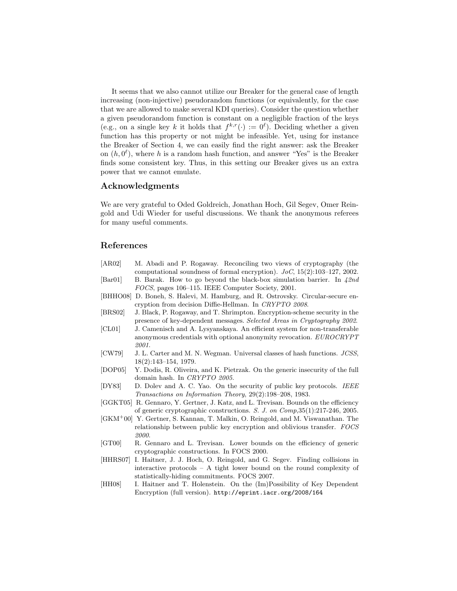It seems that we also cannot utilize our Breaker for the general case of length increasing (non-injective) pseudorandom functions (or equivalently, for the case that we are allowed to make several KDI queries). Consider the question whether a given pseudorandom function is constant on a negligible fraction of the keys (e.g., on a single key k it holds that  $f^{k,r}(\cdot) := 0^{\ell}$ ). Deciding whether a given function has this property or not might be infeasible. Yet, using for instance the Breaker of Section 4, we can easily find the right answer: ask the Breaker on  $(h, 0^{\ell})$ , where h is a random hash function, and answer "Yes" is the Breaker finds some consistent key. Thus, in this setting our Breaker gives us an extra power that we cannot emulate.

# Acknowledgments

We are very grateful to Oded Goldreich, Jonathan Hoch, Gil Segev, Omer Reingold and Udi Wieder for useful discussions. We thank the anonymous referees for many useful comments.

# References

- [AR02] M. Abadi and P. Rogaway. Reconciling two views of cryptography (the computational soundness of formal encryption). JoC, 15(2):103–127, 2002.
- [Bar01] B. Barak. How to go beyond the black-box simulation barrier. In  $42nd$ FOCS, pages 106–115. IEEE Computer Society, 2001.
- [BHHO08] D. Boneh, S. Halevi, M. Hamburg, and R. Ostrovsky. Circular-secure encryption from decision Diffie-Hellman. In CRYPTO 2008.
- [BRS02] J. Black, P. Rogaway, and T. Shrimpton. Encryption-scheme security in the presence of key-dependent messages. Selected Areas in Cryptography 2002.
- [CL01] J. Camenisch and A. Lysyanskaya. An efficient system for non-transferable anonymous credentials with optional anonymity revocation. EUROCRYPT 2001.
- [CW79] J. L. Carter and M. N. Wegman. Universal classes of hash functions. *JCSS*, 18(2):143–154, 1979.
- [DOP05] Y. Dodis, R. Oliveira, and K. Pietrzak. On the generic insecurity of the full domain hash. In CRYPTO 2005.
- [DY83] D. Dolev and A. C. Yao. On the security of public key protocols. IEEE Transactions on Information Theory, 29(2):198–208, 1983.
- [GGKT05] R. Gennaro, Y. Gertner, J. Katz, and L. Trevisan. Bounds on the efficiency of generic cryptographic constructions. S. J. on Comp,35(1):217-246, 2005.
- [GKM<sup>+</sup>00] Y. Gertner, S. Kannan, T. Malkin, O. Reingold, and M. Viswanathan. The relationship between public key encryption and oblivious transfer. FOCS 2000.
- [GT00] R. Gennaro and L. Trevisan. Lower bounds on the efficiency of generic cryptographic constructions. In FOCS 2000.
- [HHRS07] I. Haitner, J. J. Hoch, O. Reingold, and G. Segev. Finding collisions in interactive protocols – A tight lower bound on the round complexity of statistically-hiding commitments. FOCS 2007.
- [HH08] I. Haitner and T. Holenstein. On the (Im)Possibility of Key Dependent Encryption (full version). http://eprint.iacr.org/2008/164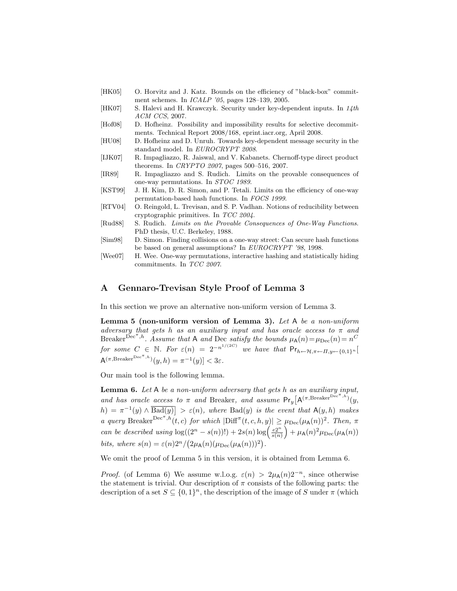- [HK05] O. Horvitz and J. Katz. Bounds on the efficiency of "black-box" commitment schemes. In ICALP '05, pages 128–139, 2005.
- [HK07] S. Halevi and H. Krawczyk. Security under key-dependent inputs. In 14th ACM CCS, 2007.
- [Hof08] D. Hofheinz. Possibility and impossibility results for selective decommitments. Technical Report 2008/168, eprint.iacr.org, April 2008.
- [HU08] D. Hofheinz and D. Unruh. Towards key-dependent message security in the standard model. In EUROCRYPT 2008.
- [IJK07] R. Impagliazzo, R. Jaiswal, and V. Kabanets. Chernoff-type direct product theorems. In CRYPTO 2007, pages 500–516, 2007.
- [IR89] R. Impagliazzo and S. Rudich. Limits on the provable consequences of one-way permutations. In STOC 1989.
- [KST99] J. H. Kim, D. R. Simon, and P. Tetali. Limits on the efficiency of one-way permutation-based hash functions. In FOCS 1999.
- [RTV04] O. Reingold, L. Trevisan, and S. P. Vadhan. Notions of reducibility between cryptographic primitives. In TCC 2004.
- [Rud88] S. Rudich. Limits on the Provable Consequences of One-Way Functions. PhD thesis, U.C. Berkeley, 1988.
- [Sim98] D. Simon. Finding collisions on a one-way street: Can secure hash functions be based on general assumptions? In EUROCRYPT '98, 1998.
- [Wee07] H. Wee. One-way permutations, interactive hashing and statistically hiding commitments. In TCC 2007.

# A Gennaro-Trevisan Style Proof of Lemma 3

In this section we prove an alternative non-uniform version of Lemma 3.

Lemma 5 (non-uniform version of Lemma 3). Let A be a non-uniform adversary that gets h as an auxiliary input and has oracle access to  $\pi$  and Breaker  $\widetilde{Dec}^{\pi}, h$ . Assume that A and Dec satisfy the bounds  $\mu_{A}(n) = \mu_{Dec}(n) = n^C$ for some  $C \in \mathbb{N}$ . For  $\varepsilon(n) = 2^{-n^{1/(2C)}}$  we have that  $Pr_{h \leftarrow H, \pi \leftarrow \Pi, y \leftarrow \{0,1\}^n}$  $\mathsf{A}^{(\pi,\operatorname{Breaker}^{\operatorname{Dec}^{\pi},h})}(y,h)=\pi^{-1}(y)]<3\varepsilon.$ 

Our main tool is the following lemma.

Lemma 6. Let A be a non-uniform adversary that gets h as an auxiliary input, and has oracle access to  $\pi$  and Breaker, and assume  $Pr_y[A^{(\pi, \text{Breaker}^{\text{Dec}}, \hat{h})}(y)]$  $h) = \pi^{-1}(y) \wedge \overline{\text{Bad}(y)} > \varepsilon(n)$ , where  $\text{Bad}(y)$  is the event that  $A(y, h)$  makes a query Breaker<sup>Dec<sup>π</sup>,h<sup>(t</sup>,c) for which  $|\text{Diff}^{\pi}(t, c, h, y)| \geq \mu_{\text{Dec}}(\mu_{\mathsf{A}}(n))^2$ . Then,  $\pi$ </sup> can be described using  $\log((2^n-s(n))!) + 2s(n) \log(\frac{e2^n}{s(n)})$  $\left(\frac{e2^n}{s(n)}\right) + \mu_{\mathsf{A}}(n)^2 \mu_{\text{Dec}}(\mu_{\mathsf{A}}(n))$ bits, where  $s(n) = \varepsilon(n)2^n/(2\mu_A(n)(\mu_{\text{Dec}}(\mu_A(n)))^2)$ .

We omit the proof of Lemma 5 in this version, it is obtained from Lemma 6.

*Proof.* (of Lemma 6) We assume w.l.o.g.  $\varepsilon(n) > 2\mu_A(n)2^{-n}$ , since otherwise the statement is trivial. Our description of  $\pi$  consists of the following parts: the description of a set  $S \subseteq \{0,1\}^n$ , the description of the image of S under  $\pi$  (which